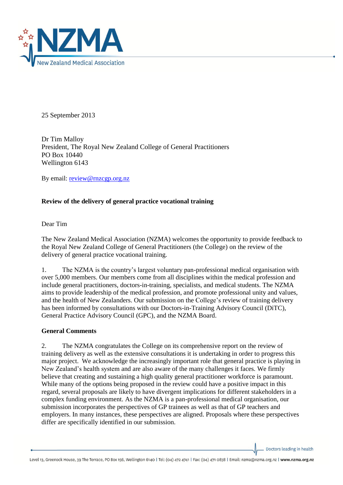

25 September 2013

Dr Tim Malloy President, The Royal New Zealand College of General Practitioners PO Box 10440 Wellington 6143

By email: [review@rnzcgp.org.nz](mailto:review@rnzcgp.org.nz)

## **Review of the delivery of general practice vocational training**

Dear Tim

The New Zealand Medical Association (NZMA) welcomes the opportunity to provide feedback to the Royal New Zealand College of General Practitioners (the College) on the review of the delivery of general practice vocational training.

1. The NZMA is the country's largest voluntary pan-professional medical organisation with over 5,000 members. Our members come from all disciplines within the medical profession and include general practitioners, doctors-in-training, specialists, and medical students. The NZMA aims to provide leadership of the medical profession, and promote professional unity and values, and the health of New Zealanders. Our submission on the College's review of training delivery has been informed by consultations with our Doctors-in-Training Advisory Council (DiTC), General Practice Advisory Council (GPC), and the NZMA Board.

### **General Comments**

2. The NZMA congratulates the College on its comprehensive report on the review of training delivery as well as the extensive consultations it is undertaking in order to progress this major project. We acknowledge the increasingly important role that general practice is playing in New Zealand's health system and are also aware of the many challenges it faces. We firmly believe that creating and sustaining a high quality general practitioner workforce is paramount. While many of the options being proposed in the review could have a positive impact in this regard, several proposals are likely to have divergent implications for different stakeholders in a complex funding environment. As the NZMA is a pan-professional medical organisation, our submission incorporates the perspectives of GP trainees as well as that of GP teachers and employers. In many instances, these perspectives are aligned. Proposals where these perspectives differ are specifically identified in our submission.

Doctors leading in health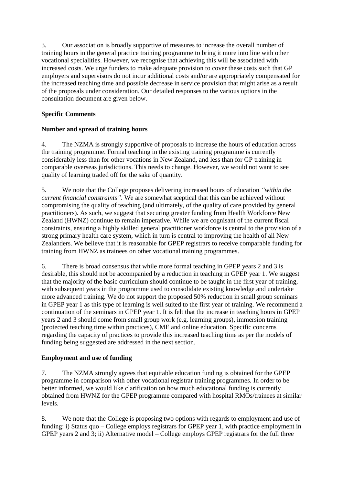3. Our association is broadly supportive of measures to increase the overall number of training hours in the general practice training programme to bring it more into line with other vocational specialities. However, we recognise that achieving this will be associated with increased costs. We urge funders to make adequate provision to cover these costs such that GP employers and supervisors do not incur additional costs and/or are appropriately compensated for the increased teaching time and possible decrease in service provision that might arise as a result of the proposals under consideration. Our detailed responses to the various options in the consultation document are given below.

# **Specific Comments**

## **Number and spread of training hours**

4. The NZMA is strongly supportive of proposals to increase the hours of education across the training programme. Formal teaching in the existing training programme is currently considerably less than for other vocations in New Zealand, and less than for GP training in comparable overseas jurisdictions. This needs to change. However, we would not want to see quality of learning traded off for the sake of quantity.

5. We note that the College proposes delivering increased hours of education *"within the current financial constraints"*. We are somewhat sceptical that this can be achieved without compromising the quality of teaching (and ultimately, of the quality of care provided by general practitioners). As such, we suggest that securing greater funding from Health Workforce New Zealand (HWNZ) continue to remain imperative. While we are cognisant of the current fiscal constraints, ensuring a highly skilled general practitioner workforce is central to the provision of a strong primary health care system, which in turn is central to improving the health of all New Zealanders. We believe that it is reasonable for GPEP registrars to receive comparable funding for training from HWNZ as trainees on other vocational training programmes.

6. There is broad consensus that while more formal teaching in GPEP years 2 and 3 is desirable, this should not be accompanied by a reduction in teaching in GPEP year 1. We suggest that the majority of the basic curriculum should continue to be taught in the first year of training, with subsequent years in the programme used to consolidate existing knowledge and undertake more advanced training. We do not support the proposed 50% reduction in small group seminars in GPEP year 1 as this type of learning is well suited to the first year of training. We recommend a continuation of the seminars in GPEP year 1. It is felt that the increase in teaching hours in GPEP years 2 and 3 should come from small group work (e.g. learning groups), immersion training (protected teaching time within practices), CME and online education. Specific concerns regarding the capacity of practices to provide this increased teaching time as per the models of funding being suggested are addressed in the next section.

## **Employment and use of funding**

7. The NZMA strongly agrees that equitable education funding is obtained for the GPEP programme in comparison with other vocational registrar training programmes. In order to be better informed, we would like clarification on how much educational funding is currently obtained from HWNZ for the GPEP programme compared with hospital RMOs/trainees at similar levels.

8. We note that the College is proposing two options with regards to employment and use of funding: i) Status quo – College employs registrars for GPEP year 1, with practice employment in GPEP years 2 and 3; ii) Alternative model – College employs GPEP registrars for the full three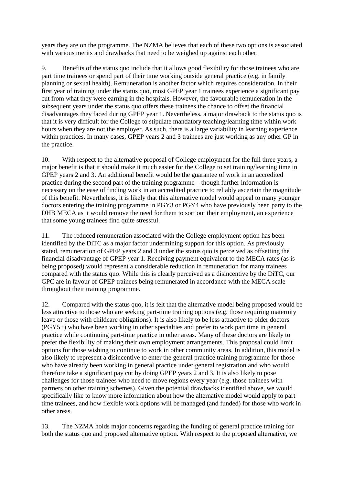years they are on the programme. The NZMA believes that each of these two options is associated with various merits and drawbacks that need to be weighed up against each other.

9. Benefits of the status quo include that it allows good flexibility for those trainees who are part time trainees or spend part of their time working outside general practice (e.g. in family planning or sexual health). Remuneration is another factor which requires consideration. In their first year of training under the status quo, most GPEP year 1 trainees experience a significant pay cut from what they were earning in the hospitals. However, the favourable remuneration in the subsequent years under the status quo offers these trainees the chance to offset the financial disadvantages they faced during GPEP year 1. Nevertheless, a major drawback to the status quo is that it is very difficult for the College to stipulate mandatory teaching/learning time within work hours when they are not the employer. As such, there is a large variability in learning experience within practices. In many cases, GPEP years 2 and 3 trainees are just working as any other GP in the practice.

10. With respect to the alternative proposal of College employment for the full three years, a major benefit is that it should make it much easier for the College to set training/learning time in GPEP years 2 and 3. An additional benefit would be the guarantee of work in an accredited practice during the second part of the training programme – though further information is necessary on the ease of finding work in an accredited practice to reliably ascertain the magnitude of this benefit. Nevertheless, it is likely that this alternative model would appeal to many younger doctors entering the training programme in PGY3 or PGY4 who have previously been party to the DHB MECA as it would remove the need for them to sort out their employment, an experience that some young trainees find quite stressful.

11. The reduced remuneration associated with the College employment option has been identified by the DiTC as a major factor undermining support for this option. As previously stated, remuneration of GPEP years 2 and 3 under the status quo is perceived as offsetting the financial disadvantage of GPEP year 1. Receiving payment equivalent to the MECA rates (as is being proposed) would represent a considerable reduction in remuneration for many trainees compared with the status quo. While this is clearly perceived as a disincentive by the DiTC, our GPC are in favour of GPEP trainees being remunerated in accordance with the MECA scale throughout their training programme.

12. Compared with the status quo, it is felt that the alternative model being proposed would be less attractive to those who are seeking part-time training options (e.g. those requiring maternity leave or those with childcare obligations). It is also likely to be less attractive to older doctors (PGY5+) who have been working in other specialties and prefer to work part time in general practice while continuing part-time practice in other areas. Many of these doctors are likely to prefer the flexibility of making their own employment arrangements. This proposal could limit options for those wishing to continue to work in other community areas. In addition, this model is also likely to represent a disincentive to enter the general practice training programme for those who have already been working in general practice under general registration and who would therefore take a significant pay cut by doing GPEP years 2 and 3. It is also likely to pose challenges for those trainees who need to move regions every year (e.g. those trainees with partners on other training schemes). Given the potential drawbacks identified above, we would specifically like to know more information about how the alternative model would apply to part time trainees, and how flexible work options will be managed (and funded) for those who work in other areas.

13. The NZMA holds major concerns regarding the funding of general practice training for both the status quo and proposed alternative option. With respect to the proposed alternative, we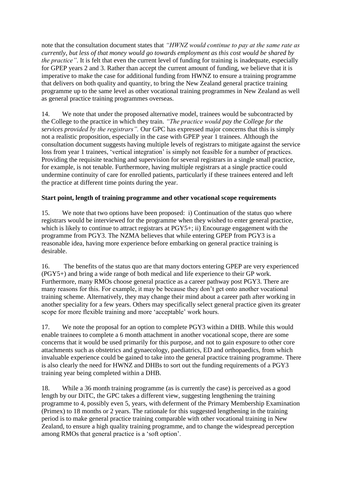note that the consultation document states that *"HWNZ would continue to pay at the same rate as currently, but less of that money would go towards employment as this cost would be shared by the practice*". It is felt that even the current level of funding for training is inadequate, especially for GPEP years 2 and 3. Rather than accept the current amount of funding, we believe that it is imperative to make the case for additional funding from HWNZ to ensure a training programme that delivers on both quality and quantity, to bring the New Zealand general practice training programme up to the same level as other vocational training programmes in New Zealand as well as general practice training programmes overseas.

14. We note that under the proposed alternative model, trainees would be subcontracted by the College to the practice in which they train. *"The practice would pay the College for the services provided by the registrars".* Our GPC has expressed major concerns that this is simply not a realistic proposition, especially in the case with GPEP year 1 trainees. Although the consultation document suggests having multiple levels of registrars to mitigate against the service loss from year 1 trainees, 'vertical integration' is simply not feasible for a number of practices. Providing the requisite teaching and supervision for several registrars in a single small practice, for example, is not tenable. Furthermore, having multiple registrars at a single practice could undermine continuity of care for enrolled patients, particularly if these trainees entered and left the practice at different time points during the year.

## **Start point, length of training programme and other vocational scope requirements**

15. We note that two options have been proposed: i) Continuation of the status quo where registrars would be interviewed for the programme when they wished to enter general practice, which is likely to continue to attract registrars at PGY5+; ii) Encourage engagement with the programme from PGY3. The NZMA believes that while entering GPEP from PGY3 is a reasonable idea, having more experience before embarking on general practice training is desirable.

16. The benefits of the status quo are that many doctors entering GPEP are very experienced (PGY5+) and bring a wide range of both medical and life experience to their GP work. Furthermore, many RMOs choose general practice as a career pathway post PGY3. There are many reasons for this. For example, it may be because they don't get onto another vocational training scheme. Alternatively, they may change their mind about a career path after working in another speciality for a few years. Others may specifically select general practice given its greater scope for more flexible training and more 'acceptable' work hours.

17. We note the proposal for an option to complete PGY3 within a DHB. While this would enable trainees to complete a 6 month attachment in another vocational scope, there are some concerns that it would be used primarily for this purpose, and not to gain exposure to other core attachments such as obstetrics and gynaecology, paediatrics, ED and orthopaedics, from which invaluable experience could be gained to take into the general practice training programme. There is also clearly the need for HWNZ and DHBs to sort out the funding requirements of a PGY3 training year being completed within a DHB.

18. While a 36 month training programme (as is currently the case) is perceived as a good length by our DiTC, the GPC takes a different view, suggesting lengthening the training programme to 4, possibly even 5, years, with deferment of the Primary Membership Examination (Primex) to 18 months or 2 years. The rationale for this suggested lengthening in the training period is to make general practice training comparable with other vocational training in New Zealand, to ensure a high quality training programme, and to change the widespread perception among RMOs that general practice is a 'soft option'.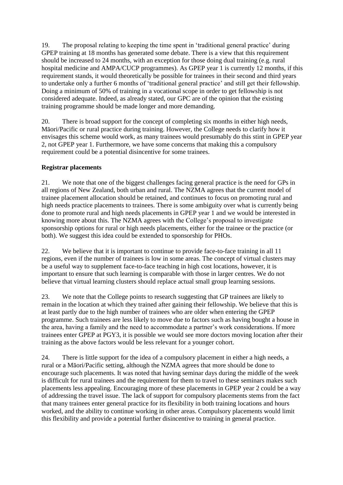19. The proposal relating to keeping the time spent in 'traditional general practice' during GPEP training at 18 months has generated some debate. There is a view that this requirement should be increased to 24 months, with an exception for those doing dual training (e.g. rural hospital medicine and AMPA/CUCP programmes). As GPEP year 1 is currently 12 months, if this requirement stands, it would theoretically be possible for trainees in their second and third years to undertake only a further 6 months of 'traditional general practice' and still get their fellowship. Doing a minimum of 50% of training in a vocational scope in order to get fellowship is not considered adequate. Indeed, as already stated, our GPC are of the opinion that the existing training programme should be made longer and more demanding.

20. There is broad support for the concept of completing six months in either high needs, Māori/Pacific or rural practice during training. However, the College needs to clarify how it envisages this scheme would work, as many trainees would presumably do this stint in GPEP year 2, not GPEP year 1. Furthermore, we have some concerns that making this a compulsory requirement could be a potential disincentive for some trainees.

## **Registrar placements**

21. We note that one of the biggest challenges facing general practice is the need for GPs in all regions of New Zealand, both urban and rural. The NZMA agrees that the current model of trainee placement allocation should be retained, and continues to focus on promoting rural and high needs practice placements to trainees. There is some ambiguity over what is currently being done to promote rural and high needs placements in GPEP year 1 and we would be interested in knowing more about this. The NZMA agrees with the College's proposal to investigate sponsorship options for rural or high needs placements, either for the trainee or the practice (or both). We suggest this idea could be extended to sponsorship for PHOs.

22. We believe that it is important to continue to provide face-to-face training in all 11 regions, even if the number of trainees is low in some areas. The concept of virtual clusters may be a useful way to supplement face-to-face teaching in high cost locations, however, it is important to ensure that such learning is comparable with those in larger centres. We do not believe that virtual learning clusters should replace actual small group learning sessions.

23. We note that the College points to research suggesting that GP trainees are likely to remain in the location at which they trained after gaining their fellowship. We believe that this is at least partly due to the high number of trainees who are older when entering the GPEP programme. Such trainees are less likely to move due to factors such as having bought a house in the area, having a family and the need to accommodate a partner's work considerations. If more trainees enter GPEP at PGY3, it is possible we would see more doctors moving location after their training as the above factors would be less relevant for a younger cohort.

24. There is little support for the idea of a compulsory placement in either a high needs, a rural or a Māori/Pacific setting, although the NZMA agrees that more should be done to encourage such placements. It was noted that having seminar days during the middle of the week is difficult for rural trainees and the requirement for them to travel to these seminars makes such placements less appealing. Encouraging more of these placements in GPEP year 2 could be a way of addressing the travel issue. The lack of support for compulsory placements stems from the fact that many trainees enter general practice for its flexibility in both training locations and hours worked, and the ability to continue working in other areas. Compulsory placements would limit this flexibility and provide a potential further disincentive to training in general practice.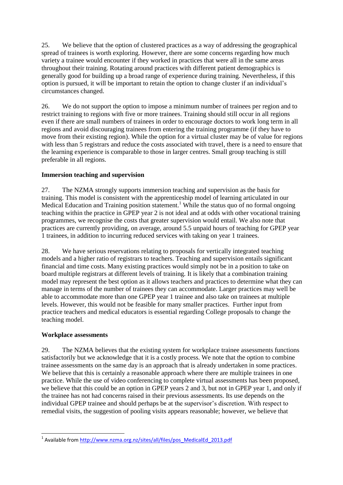25. We believe that the option of clustered practices as a way of addressing the geographical spread of trainees is worth exploring. However, there are some concerns regarding how much variety a trainee would encounter if they worked in practices that were all in the same areas throughout their training. Rotating around practices with different patient demographics is generally good for building up a broad range of experience during training. Nevertheless, if this option is pursued, it will be important to retain the option to change cluster if an individual's circumstances changed.

26. We do not support the option to impose a minimum number of trainees per region and to restrict training to regions with five or more trainees. Training should still occur in all regions even if there are small numbers of trainees in order to encourage doctors to work long term in all regions and avoid discouraging trainees from entering the training programme (if they have to move from their existing region). While the option for a virtual cluster may be of value for regions with less than 5 registrars and reduce the costs associated with travel, there is a need to ensure that the learning experience is comparable to those in larger centres. Small group teaching is still preferable in all regions.

## **Immersion teaching and supervision**

27. The NZMA strongly supports immersion teaching and supervision as the basis for training. This model is consistent with the apprenticeship model of learning articulated in our Medical Education and Training position statement.<sup>1</sup> While the status quo of no formal ongoing teaching within the practice in GPEP year 2 is not ideal and at odds with other vocational training programmes, we recognise the costs that greater supervision would entail. We also note that practices are currently providing, on average, around 5.5 unpaid hours of teaching for GPEP year 1 trainees, in addition to incurring reduced services with taking on year 1 trainees.

28. We have serious reservations relating to proposals for vertically integrated teaching models and a higher ratio of registrars to teachers. Teaching and supervision entails significant financial and time costs. Many existing practices would simply not be in a position to take on board multiple registrars at different levels of training. It is likely that a combination training model may represent the best option as it allows teachers and practices to determine what they can manage in terms of the number of trainees they can accommodate. Larger practices may well be able to accommodate more than one GPEP year 1 trainee and also take on trainees at multiple levels. However, this would not be feasible for many smaller practices. Further input from practice teachers and medical educators is essential regarding College proposals to change the teaching model.

### **Workplace assessments**

29. The NZMA believes that the existing system for workplace trainee assessments functions satisfactorily but we acknowledge that it is a costly process. We note that the option to combine trainee assessments on the same day is an approach that is already undertaken in some practices. We believe that this is certainly a reasonable approach where there are multiple trainees in one practice. While the use of video conferencing to complete virtual assessments has been proposed, we believe that this could be an option in GPEP years 2 and 3, but not in GPEP year 1, and only if the trainee has not had concerns raised in their previous assessments. Its use depends on the individual GPEP trainee and should perhaps be at the supervisor's discretion. With respect to remedial visits, the suggestion of pooling visits appears reasonable; however, we believe that

**<sup>.</sup>** <sup>1</sup> Available from [http://www.nzma.org.nz/sites/all/files/pos\\_MedicalEd\\_2013.pdf](http://www.nzma.org.nz/sites/all/files/pos_MedicalEd_2013.pdf)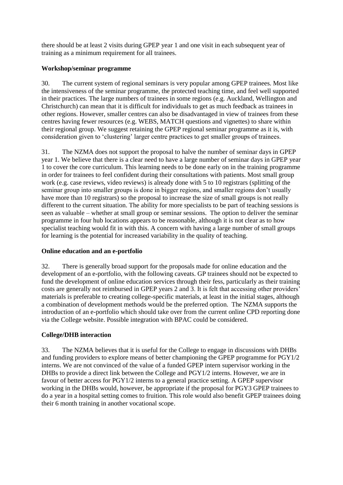there should be at least 2 visits during GPEP year 1 and one visit in each subsequent year of training as a minimum requirement for all trainees.

### **Workshop/seminar programme**

30. The current system of regional seminars is very popular among GPEP trainees. Most like the intensiveness of the seminar programme, the protected teaching time, and feel well supported in their practices. The large numbers of trainees in some regions (e.g. Auckland, Wellington and Christchurch) can mean that it is difficult for individuals to get as much feedback as trainees in other regions. However, smaller centres can also be disadvantaged in view of trainees from these centres having fewer resources (e.g. WEBS, MATCH questions and vignettes) to share within their regional group. We suggest retaining the GPEP regional seminar programme as it is, with consideration given to 'clustering' larger centre practices to get smaller groups of trainees.

31. The NZMA does not support the proposal to halve the number of seminar days in GPEP year 1. We believe that there is a clear need to have a large number of seminar days in GPEP year 1 to cover the core curriculum. This learning needs to be done early on in the training programme in order for trainees to feel confident during their consultations with patients. Most small group work (e.g. case reviews, video reviews) is already done with 5 to 10 registrars (splitting of the seminar group into smaller groups is done in bigger regions, and smaller regions don't usually have more than 10 registrars) so the proposal to increase the size of small groups is not really different to the current situation. The ability for more specialists to be part of teaching sessions is seen as valuable – whether at small group or seminar sessions. The option to deliver the seminar programme in four hub locations appears to be reasonable, although it is not clear as to how specialist teaching would fit in with this. A concern with having a large number of small groups for learning is the potential for increased variability in the quality of teaching.

## **Online education and an e-portfolio**

32. There is generally broad support for the proposals made for online education and the development of an e-portfolio, with the following caveats. GP trainees should not be expected to fund the development of online education services through their fess, particularly as their training costs are generally not reimbursed in GPEP years 2 and 3. It is felt that accessing other providers' materials is preferable to creating college-specific materials, at least in the initial stages, although a combination of development methods would be the preferred option. The NZMA supports the introduction of an e-portfolio which should take over from the current online CPD reporting done via the College website. Possible integration with BPAC could be considered.

## **College/DHB interaction**

33. The NZMA believes that it is useful for the College to engage in discussions with DHBs and funding providers to explore means of better championing the GPEP programme for PGY1/2 interns. We are not convinced of the value of a funded GPEP intern supervisor working in the DHBs to provide a direct link between the College and PGY1/2 interns. However, we are in favour of better access for PGY1/2 interns to a general practice setting. A GPEP supervisor working in the DHBs would, however, be appropriate if the proposal for PGY3 GPEP trainees to do a year in a hospital setting comes to fruition. This role would also benefit GPEP trainees doing their 6 month training in another vocational scope.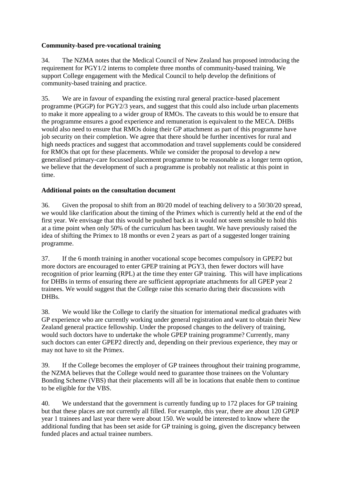### **Community-based pre-vocational training**

34. The NZMA notes that the Medical Council of New Zealand has proposed introducing the requirement for PGY1/2 interns to complete three months of community-based training. We support College engagement with the Medical Council to help develop the definitions of community-based training and practice.

35. We are in favour of expanding the existing rural general practice-based placement programme (PGGP) for PGY2/3 years, and suggest that this could also include urban placements to make it more appealing to a wider group of RMOs. The caveats to this would be to ensure that the programme ensures a good experience and remuneration is equivalent to the MECA. DHBs would also need to ensure that RMOs doing their GP attachment as part of this programme have job security on their completion. We agree that there should be further incentives for rural and high needs practices and suggest that accommodation and travel supplements could be considered for RMOs that opt for these placements. While we consider the proposal to develop a new generalised primary-care focussed placement programme to be reasonable as a longer term option, we believe that the development of such a programme is probably not realistic at this point in time.

### **Additional points on the consultation document**

36. Given the proposal to shift from an 80/20 model of teaching delivery to a 50/30/20 spread, we would like clarification about the timing of the Primex which is currently held at the end of the first year. We envisage that this would be pushed back as it would not seem sensible to hold this at a time point when only 50% of the curriculum has been taught. We have previously raised the idea of shifting the Primex to 18 months or even 2 years as part of a suggested longer training programme.

37. If the 6 month training in another vocational scope becomes compulsory in GPEP2 but more doctors are encouraged to enter GPEP training at PGY3, then fewer doctors will have recognition of prior learning (RPL) at the time they enter GP training. This will have implications for DHBs in terms of ensuring there are sufficient appropriate attachments for all GPEP year 2 trainees. We would suggest that the College raise this scenario during their discussions with DHB<sub>s</sub>.

38. We would like the College to clarify the situation for international medical graduates with GP experience who are currently working under general registration and want to obtain their New Zealand general practice fellowship. Under the proposed changes to the delivery of training, would such doctors have to undertake the whole GPEP training programme? Currently, many such doctors can enter GPEP2 directly and, depending on their previous experience, they may or may not have to sit the Primex.

39. If the College becomes the employer of GP trainees throughout their training programme, the NZMA believes that the College would need to guarantee those trainees on the Voluntary Bonding Scheme (VBS) that their placements will all be in locations that enable them to continue to be eligible for the VBS.

40. We understand that the government is currently funding up to 172 places for GP training but that these places are not currently all filled. For example, this year, there are about 120 GPEP year 1 trainees and last year there were about 150. We would be interested to know where the additional funding that has been set aside for GP training is going, given the discrepancy between funded places and actual trainee numbers.